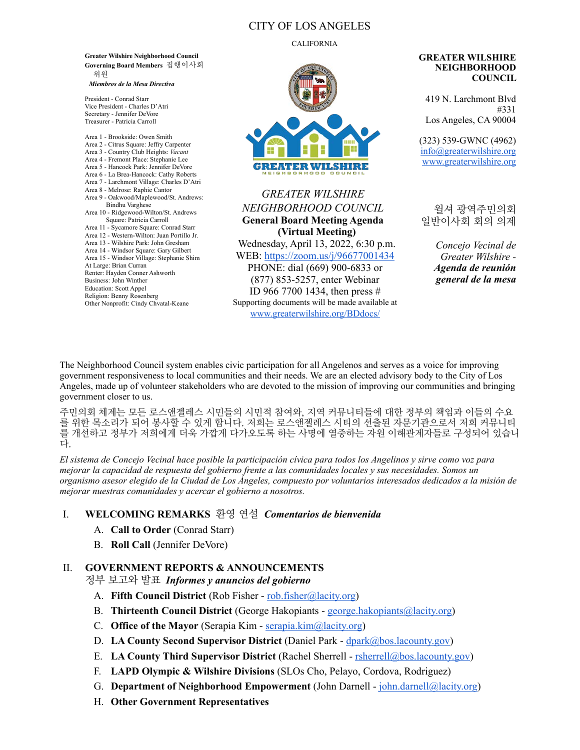## CITY OF LOS ANGELES

#### CALIFORNIA

**Greater Wilshire Neighborhood Council Governing Board Members** 집행이사회 위원 *Miembros de la Mesa Directiva* 

President - Conrad Starr Vice President - Charles D'Atri Secretary - Jennifer DeVore Treasurer - Patricia Carroll

Area 1 - Brookside: Owen Smith Area 2 - Citrus Square: Jeffry Carpenter Area 3 - Country Club Heights: *Vacant*  Area 4 - Fremont Place: Stephanie Lee Area 5 - Hancock Park: Jennifer DeVore Area 6 - La Brea-Hancock: Cathy Roberts Area 7 - Larchmont Village: Charles D'Atri Area 8 - Melrose: Raphie Cantor Area 9 - Oakwood/Maplewood/St. Andrews: Bindhu Varghese Area 10 - Ridgewood-Wilton/St. Andrews Square: Patricia Carroll Area 11 - Sycamore Square: Conrad Starr Area 12 - Western-Wilton: Juan Portillo Jr. Area 13 - Wilshire Park: John Gresham Area 14 - Windsor Square: Gary Gilbert Area 15 - Windsor Village: Stephanie Shim At Large: Brian Curran Renter: Hayden Conner Ashworth Business: John Winther Education: Scott Appel Religion: Benny Rosenberg Other Nonprofit: Cindy Chvatal-Keane



*GREATER WILSHIRE NEIGHBORHOOD COUNCIL* **General Board Meeting Agenda (Virtual Meeting)** Wednesday, April 13, 2022, 6:30 p.m. WEB:<https://zoom.us/j/96677001434> PHONE: dial (669) 900-6833 or (877) 853-5257, enter Webinar ID 966 7700 1434, then press # Supporting documents will be made available at [www.greaterwilshire.org/BDdocs/](http://www.greaterwilshire.org/BDdocs/)

**GREATER WILSHIRE NEIGHBORHOOD COUNCIL** 

419 N. Larchmont Blvd #331 Los Angeles, CA 90004

(323) 539-GWNC (4962) [info@greaterwilshire.org](mailto:info@greaterwilshire.org) [www.greaterwilshire.org](http://www.greaterwilshire.org)

윌셔 광역주민의회 일반이사회 회의 의제

> *Concejo Vecinal de Greater Wilshire - Agenda de reunión general de la mesa*

The Neighborhood Council system enables civic participation for all Angelenos and serves as a voice for improving government responsiveness to local communities and their needs. We are an elected advisory body to the City of Los Angeles, made up of volunteer stakeholders who are devoted to the mission of improving our communities and bringing government closer to us.

주민의회 체계는 모든 로스앤젤레스 시민들의 시민적 참여와, 지역 커뮤니티들에 대한 정부의 책임과 이들의 수요 를 위한 목소리가 되어 봉사할 수 있게 합니다. 저희는 로스앤젤레스 시티의 선출된 자문기관으로서 저희 커뮤니티 를 개선하고 정부가 저희에게 더욱 가깝게 다가오도록 하는 사명에 열중하는 자원 이해관계자들로 구성되어 있습니 다.

*El sistema de Concejo Vecinal hace posible la participación cívica para todos los Angelinos y sirve como voz para mejorar la capacidad de respuesta del gobierno frente a las comunidades locales y sus necesidades. Somos un organismo asesor elegido de la Ciudad de Los Ángeles, compuesto por voluntarios interesados dedicados a la misión de mejorar nuestras comunidades y acercar el gobierno a nosotros.* 

## I. **WELCOMING REMARKS** 환영 연설 *Comentarios de bienvenida*

- A. **Call to Order** (Conrad Starr)
- B. **Roll Call** (Jennifer DeVore)

## II. **GOVERNMENT REPORTS & ANNOUNCEMENTS**

정부 보고와 발표*Informes y anuncios del gobierno*

- A. **Fifth Council District** (Rob Fisher [rob.fisher@lacity.org\)](mailto:rob.fisher@lacity.org)
- B. **Thirteenth Council District** (George Hakopiants [george.hakopiants@lacity.org](mailto:george.hakopiants@lacity.org))
- C. **Office of the Mayor** (Serapia Kim - [serapia.kim@lacity.org](mailto:serapia.kim@lacity.org))
- D. **LA County Second Supervisor District** (Daniel Park [dpark@bos.lacounty.gov](mailto:dpark@bos.lacounty.gov))
- E. **LA County Third Supervisor District** (Rachel Sherrell - [rsherrell@bos.lacounty.gov](mailto:rsherrell@bos.lacounty.gov))
- F. **LAPD Olympic & Wilshire Divisions** (SLOs Cho, Pelayo, Cordova, Rodriguez)
- G. **Department of Neighborhood Empowerment** (John Darnell - [john.darnell@lacity.org](mailto:john.darnell@lacity.org))
- H. **Other Government Representatives**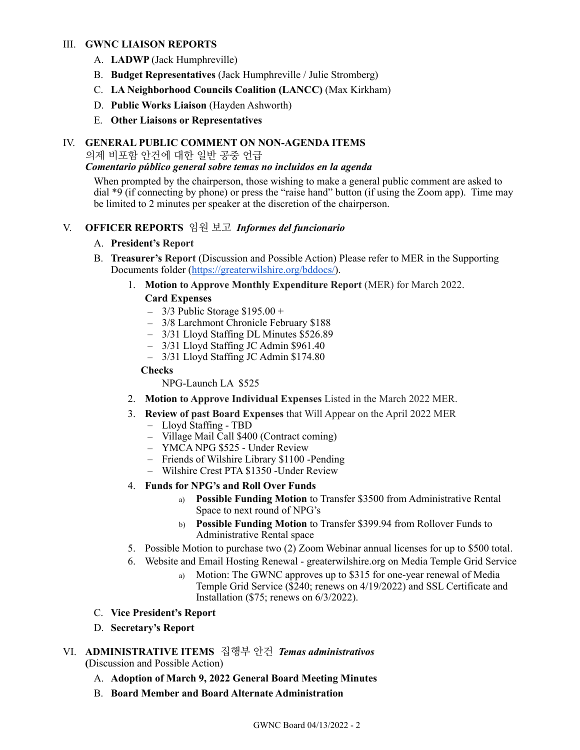## III. **GWNC LIAISON REPORTS**

- A. **LADWP** (Jack Humphreville)
- B. **Budget Representatives** (Jack Humphreville / Julie Stromberg)
- C. **LA Neighborhood Councils Coalition (LANCC)** (Max Kirkham)
- D. **Public Works Liaison** (Hayden Ashworth)
- E. **Other Liaisons or Representatives**

## IV. **GENERAL PUBLIC COMMENT ON NON-AGENDA ITEMS**

의제 비포함 안건에 대한 일반 공중 언급

## *Comentario público general sobre temas no incluidos en la agenda*

When prompted by the chairperson, those wishing to make a general public comment are asked to dial \*9 (if connecting by phone) or press the "raise hand" button (if using the Zoom app). Time may be limited to 2 minutes per speaker at the discretion of the chairperson.

## V. **OFFICER REPORTS** 임원 보고 *Informes del funcionario*

## A. **President's Report**

- B. **Treasurer's Report** (Discussion and Possible Action) Please refer to MER in the Supporting Documents folder ([https://greaterwilshire.org/bddocs/\)](https://greaterwilshire.org/bddocs/).
	- 1. **Motion to Approve Monthly Expenditure Report** (MER) for March 2022.

## **Card Expenses**

- $-$  3/3 Public Storage \$195.00 +
- ﹣ 3/8 Larchmont Chronicle February \$188
- ﹣ 3/31 Lloyd Staffing DL Minutes \$526.89
- 3/31 Lloyd Staffing JC Admin \$961.40
- ﹣ 3/31 Lloyd Staffing JC Admin \$174.80

## **Checks**

NPG-Launch LA \$525

- 2. **Motion to Approve Individual Expenses** Listed in the March 2022 MER.
- 3. **Review of past Board Expenses** that Will Appear on the April 2022 MER
	- ﹣ Lloyd Staffing TBD
	- ﹣ Village Mail Call \$400 (Contract coming)
	- YMCA NPG \$525 Under Review
	- ﹣ Friends of Wilshire Library \$1100 -Pending
	- Wilshire Crest PTA \$1350 -Under Review

## 4. **Funds for NPG's and Roll Over Funds**

- a) **Possible Funding Motion** to Transfer \$3500 from Administrative Rental Space to next round of NPG's
- b) **Possible Funding Motion** to Transfer \$399.94 from Rollover Funds to Administrative Rental space
- 5. Possible Motion to purchase two (2) Zoom Webinar annual licenses for up to \$500 total.
- 6. Website and Email Hosting Renewal greaterwilshire.org on Media Temple Grid Service
	- a) Motion: The GWNC approves up to \$315 for one-year renewal of Media Temple Grid Service (\$240; renews on 4/19/2022) and SSL Certificate and Installation (\$75; renews on 6/3/2022).
- C. **Vice President's Report**
- D. **Secretary's Report**

# VI. **ADMINISTRATIVE ITEMS** 집행부 안건*Temas administrativos*

**(**Discussion and Possible Action)

- A. **Adoption of March 9, 2022 General Board Meeting Minutes**
- B. **Board Member and Board Alternate Administration**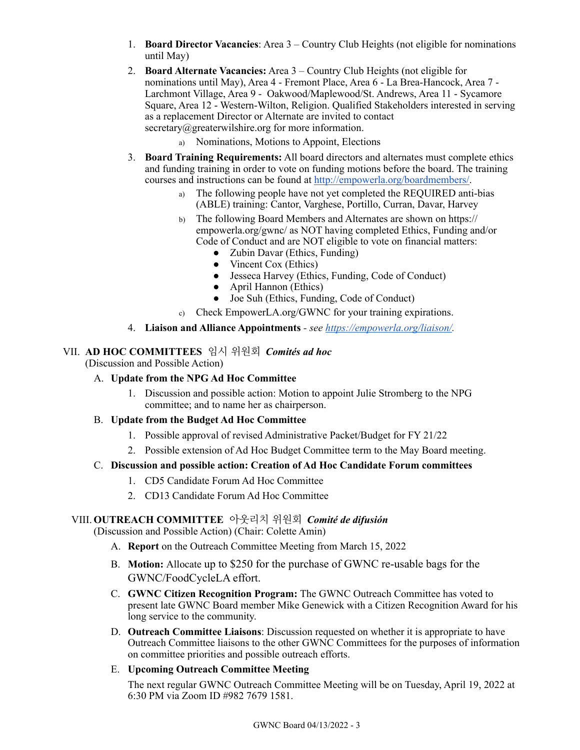- 1. **Board Director Vacancies**: Area 3 Country Club Heights (not eligible for nominations until May)
- 2. **Board Alternate Vacancies:** Area 3 Country Club Heights (not eligible for nominations until May), Area 4 - Fremont Place, Area 6 - La Brea-Hancock, Area 7 - Larchmont Village, Area 9 - Oakwood/Maplewood/St. Andrews, Area 11 - Sycamore Square, Area 12 - Western-Wilton, Religion. Qualified Stakeholders interested in serving as a replacement Director or Alternate are invited to contact secretary@greaterwilshire.org for more information.
	- a) Nominations, Motions to Appoint, Elections
- 3. **Board Training Requirements:** All board directors and alternates must complete ethics and funding training in order to vote on funding motions before the board. The training courses and instructions can be found at [http://empowerla.org/boardmembers/.](http://empowerla.org/boardmembers/)
	- a) The following people have not yet completed the REQUIRED anti-bias (ABLE) training: Cantor, Varghese, Portillo, Curran, Davar, Harvey
	- b) The following Board Members and Alternates are shown on https:// empowerla.org/gwnc/ as NOT having completed Ethics, Funding and/or Code of Conduct and are NOT eligible to vote on financial matters:
		- Zubin Davar (Ethics, Funding)
		- Vincent Cox (Ethics)
		- Jesseca Harvey (Ethics, Funding, Code of Conduct)
		- April Hannon (Ethics)
		- Joe Suh (Ethics, Funding, Code of Conduct)
	- c) Check EmpowerLA.org/GWNC for your training expirations.
- 4. **Liaison and Alliance Appointments**  *see <https://empowerla.org/liaison/>.*

## VII. **AD HOC COMMITTEES** 임시 위원회*Comités ad hoc*

(Discussion and Possible Action)

## A. **Update from the NPG Ad Hoc Committee**

1. Discussion and possible action: Motion to appoint Julie Stromberg to the NPG committee; and to name her as chairperson.

## B. **Update from the Budget Ad Hoc Committee**

- 1. Possible approval of revised Administrative Packet/Budget for FY 21/22
- 2. Possible extension of Ad Hoc Budget Committee term to the May Board meeting.

## C. **Discussion and possible action: Creation of Ad Hoc Candidate Forum committees**

- 1. CD5 Candidate Forum Ad Hoc Committee
- 2. CD13 Candidate Forum Ad Hoc Committee

## VIII. **OUTREACH COMMITTEE** 아웃리치 위원회*Comité de difusión*

(Discussion and Possible Action) (Chair: Colette Amin)

- A. **Report** on the Outreach Committee Meeting from March 15, 2022
- B. **Motion:** Allocate up to \$250 for the purchase of GWNC re-usable bags for the GWNC/FoodCycleLA effort.
- C. **GWNC Citizen Recognition Program:** The GWNC Outreach Committee has voted to present late GWNC Board member Mike Genewick with a Citizen Recognition Award for his long service to the community.
- D. **Outreach Committee Liaisons**: Discussion requested on whether it is appropriate to have Outreach Committee liaisons to the other GWNC Committees for the purposes of information on committee priorities and possible outreach efforts.
- E. **Upcoming Outreach Committee Meeting**

The next regular GWNC Outreach Committee Meeting will be on Tuesday, April 19, 2022 at 6:30 PM via Zoom ID #982 7679 1581.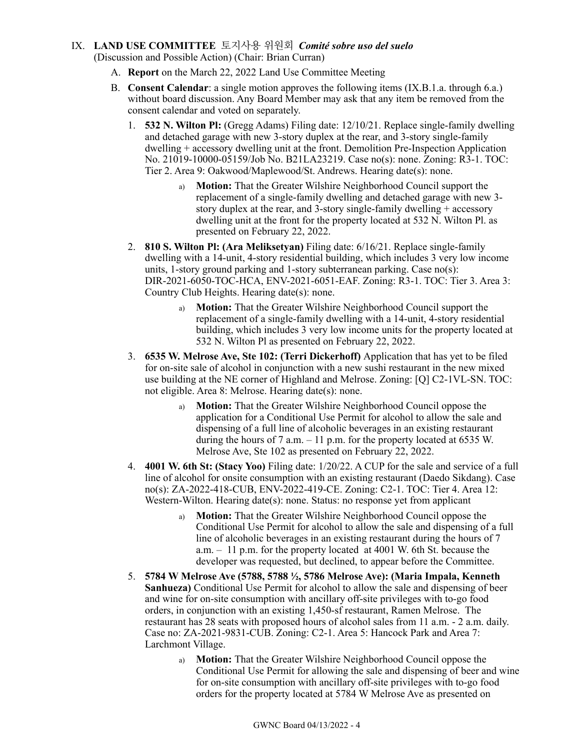## IX. **LAND USE COMMITTEE** 토지사용 위원회*Comité sobre uso del suelo* (Discussion and Possible Action) (Chair: Brian Curran)

- A. **Report** on the March 22, 2022 Land Use Committee Meeting
- B. **Consent Calendar**: a single motion approves the following items (IX.B.1.a. through 6.a.) without board discussion. Any Board Member may ask that any item be removed from the consent calendar and voted on separately.
	- 1. **532 N. Wilton Pl:** (Gregg Adams) Filing date: 12/10/21. Replace single-family dwelling and detached garage with new 3-story duplex at the rear, and 3-story single-family dwelling + accessory dwelling unit at the front. Demolition Pre-Inspection Application No. 21019-10000-05159/Job No. B21LA23219. Case no(s): none. Zoning: R3-1. TOC: Tier 2. Area 9: Oakwood/Maplewood/St. Andrews. Hearing date(s): none.
		- a) **Motion:** That the Greater Wilshire Neighborhood Council support the replacement of a single-family dwelling and detached garage with new 3 story duplex at the rear, and 3-story single-family dwelling + accessory dwelling unit at the front for the property located at 532 N. Wilton Pl. as presented on February 22, 2022.
	- 2. **810 S. Wilton Pl: (Ara Meliksetyan)** Filing date: 6/16/21. Replace single-family dwelling with a 14-unit, 4-story residential building, which includes 3 very low income units, 1-story ground parking and 1-story subterranean parking. Case no(s): DIR-2021-6050-TOC-HCA, ENV-2021-6051-EAF. Zoning: R3-1. TOC: Tier 3. Area 3: Country Club Heights. Hearing date(s): none.
		- a) **Motion:** That the Greater Wilshire Neighborhood Council support the replacement of a single-family dwelling with a 14-unit, 4-story residential building, which includes 3 very low income units for the property located at 532 N. Wilton Pl as presented on February 22, 2022.
	- 3. **6535 W. Melrose Ave, Ste 102: (Terri Dickerhoff)** Application that has yet to be filed for on-site sale of alcohol in conjunction with a new sushi restaurant in the new mixed use building at the NE corner of Highland and Melrose. Zoning: [Q] C2-1VL-SN. TOC: not eligible. Area 8: Melrose. Hearing date(s): none.
		- a) **Motion:** That the Greater Wilshire Neighborhood Council oppose the application for a Conditional Use Permit for alcohol to allow the sale and dispensing of a full line of alcoholic beverages in an existing restaurant during the hours of 7 a.m. – 11 p.m. for the property located at 6535 W. Melrose Ave, Ste 102 as presented on February 22, 2022.
	- 4. **4001 W. 6th St: (Stacy Yoo)** Filing date: 1/20/22. A CUP for the sale and service of a full line of alcohol for onsite consumption with an existing restaurant (Daedo Sikdang). Case no(s): ZA-2022-418-CUB, ENV-2022-419-CE. Zoning: C2-1. TOC: Tier 4. Area 12: Western-Wilton. Hearing date(s): none. Status: no response yet from applicant
		- a) **Motion:** That the Greater Wilshire Neighborhood Council oppose the Conditional Use Permit for alcohol to allow the sale and dispensing of a full line of alcoholic beverages in an existing restaurant during the hours of 7 a.m. – 11 p.m. for the property located at 4001 W. 6th St. because the developer was requested, but declined, to appear before the Committee.
	- 5. **5784 W Melrose Ave (5788, 5788 ½, 5786 Melrose Ave): (Maria Impala, Kenneth Sanhueza)** Conditional Use Permit for alcohol to allow the sale and dispensing of beer and wine for on-site consumption with ancillary off-site privileges with to-go food orders, in conjunction with an existing 1,450-sf restaurant, Ramen Melrose. The restaurant has 28 seats with proposed hours of alcohol sales from 11 a.m. - 2 a.m. daily. Case no: ZA-2021-9831-CUB. Zoning: C2-1. Area 5: Hancock Park and Area 7: Larchmont Village.
		- a) **Motion:** That the Greater Wilshire Neighborhood Council oppose the Conditional Use Permit for allowing the sale and dispensing of beer and wine for on-site consumption with ancillary off-site privileges with to-go food orders for the property located at 5784 W Melrose Ave as presented on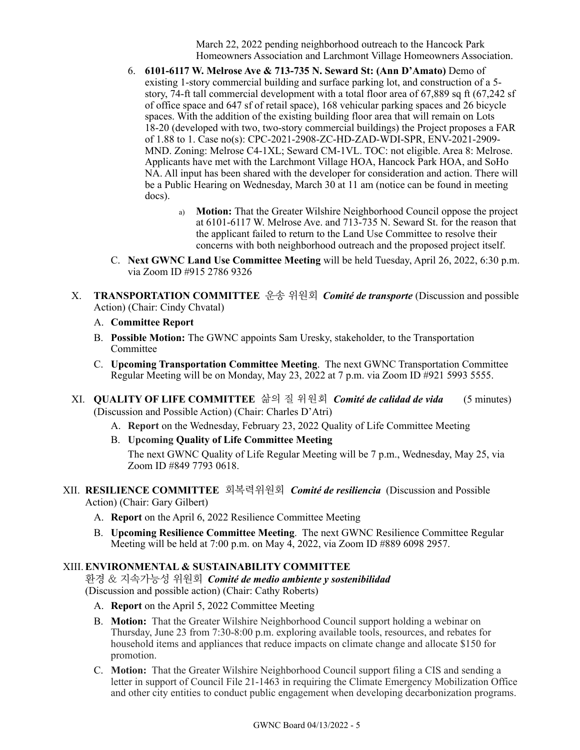March 22, 2022 pending neighborhood outreach to the Hancock Park Homeowners Association and Larchmont Village Homeowners Association.

- 6. **6101-6117 W. Melrose Ave & 713-735 N. Seward St: (Ann D'Amato)** Demo of existing 1-story commercial building and surface parking lot, and construction of a 5 story, 74-ft tall commercial development with a total floor area of 67,889 sq ft (67,242 sf of office space and 647 sf of retail space), 168 vehicular parking spaces and 26 bicycle spaces. With the addition of the existing building floor area that will remain on Lots 18-20 (developed with two, two-story commercial buildings) the Project proposes a FAR of 1.88 to 1. Case no(s): CPC-2021-2908-ZC-HD-ZAD-WDI-SPR, ENV-2021-2909- MND. Zoning: Melrose C4-1XL; Seward CM-1VL. TOC: not eligible. Area 8: Melrose. Applicants have met with the Larchmont Village HOA, Hancock Park HOA, and SoHo NA. All input has been shared with the developer for consideration and action. There will be a Public Hearing on Wednesday, March 30 at 11 am (notice can be found in meeting docs).
	- a) **Motion:** That the Greater Wilshire Neighborhood Council oppose the project at 6101-6117 W. Melrose Ave. and 713-735 N. Seward St. for the reason that the applicant failed to return to the Land Use Committee to resolve their concerns with both neighborhood outreach and the proposed project itself.
- C. **Next GWNC Land Use Committee Meeting** will be held Tuesday, April 26, 2022, 6:30 p.m. via Zoom ID #915 2786 9326
- X. **TRANSPORTATION COMMITTEE** 운송 위원회*Comité de transporte* (Discussion and possible Action) (Chair: Cindy Chvatal)
	- A. **Committee Report**
	- B. **Possible Motion:** The GWNC appoints Sam Uresky, stakeholder, to the Transportation Committee
	- C. **Upcoming Transportation Committee Meeting**. The next GWNC Transportation Committee Regular Meeting will be on Monday, May 23, 2022 at 7 p.m. via Zoom ID #921 5993 5555.
- XI. **QUALITY OF LIFE COMMITTEE** 삶의 질 위원회*Comité de calidad de vida* (5 minutes) (Discussion and Possible Action) (Chair: Charles D'Atri)
	- A. **Report** on the Wednesday, February 23, 2022 Quality of Life Committee Meeting
	- B. **Upcoming Quality of Life Committee Meeting**

The next GWNC Quality of Life Regular Meeting will be 7 p.m., Wednesday, May 25, via Zoom ID #849 7793 0618.

- XII. **RESILIENCE COMMITTEE** 회복력위원회 *Comité de resiliencia*(Discussion and Possible Action) (Chair: Gary Gilbert)
	- A. **Report** on the April 6, 2022 Resilience Committee Meeting
	- B. **Upcoming Resilience Committee Meeting**. The next GWNC Resilience Committee Regular Meeting will be held at 7:00 p.m. on May 4, 2022, via Zoom ID #889 6098 2957.

## XIII.**ENVIRONMENTAL & SUSTAINABILITY COMMITTEE**

환경 & 지속가능성 위원회*Comité de medio ambiente y sostenibilidad* (Discussion and possible action) (Chair: Cathy Roberts)

- A. **Report** on the April 5, 2022 Committee Meeting
- B. **Motion:** That the Greater Wilshire Neighborhood Council support holding a webinar on Thursday, June 23 from 7:30-8:00 p.m. exploring available tools, resources, and rebates for household items and appliances that reduce impacts on climate change and allocate \$150 for promotion.
- C. **Motion:** That the Greater Wilshire Neighborhood Council support filing a CIS and sending a letter in support of Council File 21-1463 in requiring the Climate Emergency Mobilization Office and other city entities to conduct public engagement when developing decarbonization programs.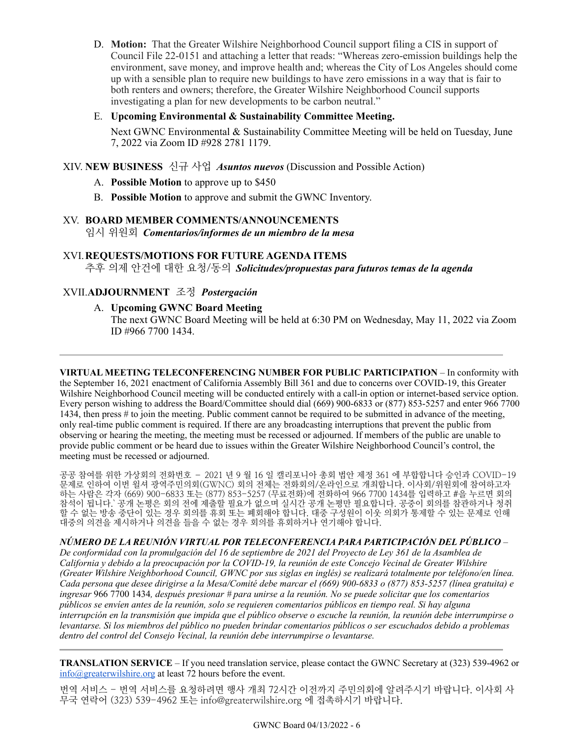D. **Motion:** That the Greater Wilshire Neighborhood Council support filing a CIS in support of Council File 22-0151 and attaching a letter that reads: "Whereas zero-emission buildings help the environment, save money, and improve health and; whereas the City of Los Angeles should come up with a sensible plan to require new buildings to have zero emissions in a way that is fair to both renters and owners; therefore, the Greater Wilshire Neighborhood Council supports investigating a plan for new developments to be carbon neutral."

## E. **Upcoming Environmental & Sustainability Committee Meeting.**

Next GWNC Environmental & Sustainability Committee Meeting will be held on Tuesday, June 7, 2022 via Zoom ID #928 2781 1179.

XIV. **NEW BUSINESS** 신규 사업*Asuntos nuevos* (Discussion and Possible Action)

- A. **Possible Motion** to approve up to \$450
- B. **Possible Motion** to approve and submit the GWNC Inventory.

#### XV. **BOARD MEMBER COMMENTS/ANNOUNCEMENTS**

임시 위원회*Comentarios/informes de un miembro de la mesa*

#### XVI.**REQUESTS/MOTIONS FOR FUTURE AGENDA ITEMS**

추후 의제 안건에 대한 요청/동의*Solicitudes/propuestas para futuros temas de la agenda*

## XVII.**ADJOURNMENT** 조정 *Postergación*

## A. **Upcoming GWNC Board Meeting**

The next GWNC Board Meeting will be held at 6:30 PM on Wednesday, May 11, 2022 via Zoom ID #966 7700 1434.

**VIRTUAL MEETING TELECONFERENCING NUMBER FOR PUBLIC PARTICIPATION** – In conformity with the September 16, 2021 enactment of California Assembly Bill 361 and due to concerns over COVID-19, this Greater Wilshire Neighborhood Council meeting will be conducted entirely with a call-in option or internet-based service option. Every person wishing to address the Board/Committee should dial (669) 900-6833 or (877) 853-5257 and enter 966 7700 1434, then press # to join the meeting. Public comment cannot be required to be submitted in advance of the meeting, only real-time public comment is required. If there are any broadcasting interruptions that prevent the public from observing or hearing the meeting, the meeting must be recessed or adjourned. If members of the public are unable to provide public comment or be heard due to issues within the Greater Wilshire Neighborhood Council's control, the meeting must be recessed or adjourned.

공공 참여를 위한 가상회의 전화번호 – 2021 년 9 월 16 일 캘리포니아 총회 법안 제정 361 에 부합합니다 승인과 COVID-19 문제로 인하여 이번 윌셔 광역주민의회(GWNC) 회의 전체는 전화회의/온라인으로 개최합니다. 이사회/위원회에 참여하고자 하는 사람은 각자 (669) 900-6833 또는 (877) 853-5257 (무료전화)에 전화하여 966 7700 1434를 입력하고 #을 누르면 회의 참석이 됩니다.` 공개 논평은 회의 전에 제출할 필요가 없으며 실시간 공개 논평만 필요합니다. 공중이 회의를 참관하거나 청취 할 수 없는 방송 중단이 있는 경우 회의를 휴회 또는 폐회해야 합니다. 대중 구성원이 이웃 의회가 통제할 수 있는 문제로 인해 대중의 의견을 제시하거나 의견을 들을 수 없는 경우 회의를 휴회하거나 연기해야 합니다.

*NÚMERO DE LA REUNIÓN VIRTUAL POR TELECONFERENCIA PARA PARTICIPACIÓN DEL PÚBLICO* –

*De conformidad con la promulgación del 16 de septiembre de 2021 del Proyecto de Ley 361 de la Asamblea de California y debido a la preocupación por la COVID-19, la reunión de este Concejo Vecinal de Greater Wilshire (Greater Wilshire Neighborhood Council, GWNC por sus siglas en inglés) se realizará totalmente por teléfono/en línea. Cada persona que desee dirigirse a la Mesa/Comité debe marcar el (669) 900-6833 o (877) 853-5257 (línea gratuita) e ingresar* 966 7700 1434*, después presionar # para unirse a la reunión. No se puede solicitar que los comentarios públicos se envíen antes de la reunión, solo se requieren comentarios públicos en tiempo real. Si hay alguna interrupción en la transmisión que impida que el público observe o escuche la reunión, la reunión debe interrumpirse o levantarse. Si los miembros del público no pueden brindar comentarios públicos o ser escuchados debido a problemas dentro del control del Consejo Vecinal, la reunión debe interrumpirse o levantarse.*

**TRANSLATION SERVICE** – If you need translation service, please contact the GWNC Secretary at (323) 539-4962 or  $info@greatestwilshire.org$  at least 72 hours before the event.

번역 서비스 - 번역 서비스를 요청하려면 행사 개최 72시간 이전까지 주민의회에 알려주시기 바랍니다. 이사회 사 무국 연락어 (323) 539-4962 또는 [info@greaterwilshire.org](mailto:info@greaterwilshire.org) 에 접촉하시기 바랍니다.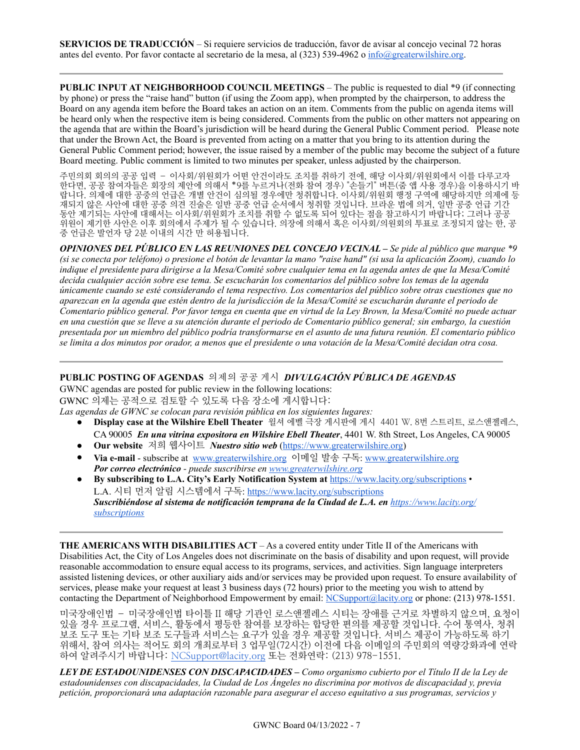**PUBLIC INPUT AT NEIGHBORHOOD COUNCIL MEETINGS – The public is requested to dial \*9 (if connecting** by phone) or press the "raise hand" button (if using the Zoom app), when prompted by the chairperson, to address the Board on any agenda item before the Board takes an action on an item. Comments from the public on agenda items will be heard only when the respective item is being considered. Comments from the public on other matters not appearing on the agenda that are within the Board's jurisdiction will be heard during the General Public Comment period. Please note that under the Brown Act, the Board is prevented from acting on a matter that you bring to its attention during the General Public Comment period; however, the issue raised by a member of the public may become the subject of a future Board meeting. Public comment is limited to two minutes per speaker, unless adjusted by the chairperson.

주민의회 회의의 공공 입력 – 이사회/위원회가 어떤 안건이라도 조치를 취하기 전에, 해당 이사회/위원회에서 이를 다루고자 한다면, 공공 참여자들은 회장의 제안에 의해서 \*9를 누르거나(전화 참여 경우) "손들기" 버튼(줌 앱 사용 경우)을 이용하시기 바 랍니다. 의제에 대한 공중의 언급은 개별 안건이 심의될 경우에만 청취합니다. 이사회/위원회 행정 구역에 해당하지만 의제에 등 재되지 않은 사안에 대한 공중 의견 진술은 일반 공중 언급 순서에서 청취할 것입니다. 브라운 법에 의거, 일반 공중 언급 기간 동안 제기되는 사안에 대해서는 이사회/위원회가 조치를 취할 수 없도록 되어 있다는 점을 참고하시기 바랍니다; 그러나 공공 위원이 제기한 사안은 이후 회의에서 주제가 될 수 있습니다. 의장에 의해서 혹은 이사회/의원회의 투표로 조정되지 않는 한, 공 중 언급은 발언자 당 2분 이내의 시간 만 허용됩니다.

*OPINIONES DEL PÚBLICO EN LAS REUNIONES DEL CONCEJO VECINAL – Se pide al público que marque \*9 (si se conecta por teléfono) o presione el botón de levantar la mano "raise hand" (si usa la aplicación Zoom), cuando lo indique el presidente para dirigirse a la Mesa/Comité sobre cualquier tema en la agenda antes de que la Mesa/Comité decida cualquier acción sobre ese tema. Se escucharán los comentarios del público sobre los temas de la agenda únicamente cuando se esté considerando el tema respectivo. Los comentarios del público sobre otras cuestiones que no aparezcan en la agenda que estén dentro de la jurisdicción de la Mesa/Comité se escucharán durante el periodo de Comentario público general. Por favor tenga en cuenta que en virtud de la Ley Brown, la Mesa/Comité no puede actuar en una cuestión que se lleve a su atención durante el periodo de Comentario público general; sin embargo, la cuestión presentada por un miembro del público podría transformarse en el asunto de una futura reunión. El comentario público se limita a dos minutos por orador, a menos que el presidente o una votación de la Mesa/Comité decidan otra cosa.*

## **PUBLIC POSTING OF AGENDAS** 의제의 공공 게시*DIVULGACIÓN PÚBLICA DE AGENDAS*

GWNC agendas are posted for public review in the following locations: GWNC 의제는 공적으로 검토할 수 있도록 다음 장소에 게시합니다:

*Las agendas de GWNC se colocan para revisión pública en los siguientes lugares:* 

- **Display case at the Wilshire Ebell Theater** 윌셔 에벨 극장 게시판에 게시 4401 W. 8번 스트리트, 로스앤젤레스, CA 90005 *En una vitrina expositora en Wilshire Ebell Theater*, 4401 W. 8th Street, Los Angeles, CA 90005
- **Our website** 저희 웹사이트 *Nuestro sitio web* ([https://www.greaterwilshire.org\)](https://www.greaterwilshire.org)
- **Via e-mail** subscribe at [www.greaterwilshire.org](http://www.greaterwilshire.org) 이메일 발송 구독: [www.greaterwilshire.org](http://www.greaterwilshire.org)  *Por correo electrónico - puede suscribirse en [www.greaterwilshire.org](http://www.greaterwilshire.org)*
- **By subscribing to L.A. City's Early Notification System at** <https://www.lacity.org/subscriptions> L.A. 시티 먼저 알림 시스템에서 구독: <https://www.lacity.org/subscriptions> *Suscribiéndose al sistema de notificación temprana de la Ciudad de L.A. en [https://www.lacity.org/](https://www.lacity.org/subscriptions) [subscriptions](https://www.lacity.org/subscriptions)*

**THE AMERICANS WITH DISABILITIES ACT** – As a covered entity under Title II of the Americans with Disabilities Act, the City of Los Angeles does not discriminate on the basis of disability and upon request, will provide reasonable accommodation to ensure equal access to its programs, services, and activities. Sign language interpreters assisted listening devices, or other auxiliary aids and/or services may be provided upon request. To ensure availability of services, please make your request at least 3 business days (72 hours) prior to the meeting you wish to attend by contacting the Department of Neighborhood Empowerment by email: [NCSupport@lacity.org](mailto:NCSupport@lacity.org) or phone: (213) 978-1551.

미국장애인법 – 미국장애인법 타이틀 II 해당 기관인 로스앤젤레스 시티는 장애를 근거로 차별하지 않으며, 요청이 있을 경우 프로그램, 서비스, 활동에서 평등한 참여를 보장하는 합당한 편의를 제공할 것입니다. 수어 통역사, 청취 보조 도구 또는 기타 보조 도구들과 서비스는 요구가 있을 경우 제공할 것입니다. 서비스 제공이 가능하도록 하기 위해서, 참여 의사는 적어도 회의 개최로부터 3 업무일(72시간) 이전에 다음 이메일의 주민회의 역량강화과에 연락 하여 알려주시기 바랍니다: [NCSupport@lacity.org](mailto:NCSupport@lacity.org) 또는 전화연락: (213) 978-1551.

*LEY DE ESTADOUNIDENSES CON DISCAPACIDADES – Como organismo cubierto por el Título II de la Ley de estadounidenses con discapacidades, la Ciudad de Los Ángeles no discrimina por motivos de discapacidad y, previa petición, proporcionará una adaptación razonable para asegurar el acceso equitativo a sus programas, servicios y*